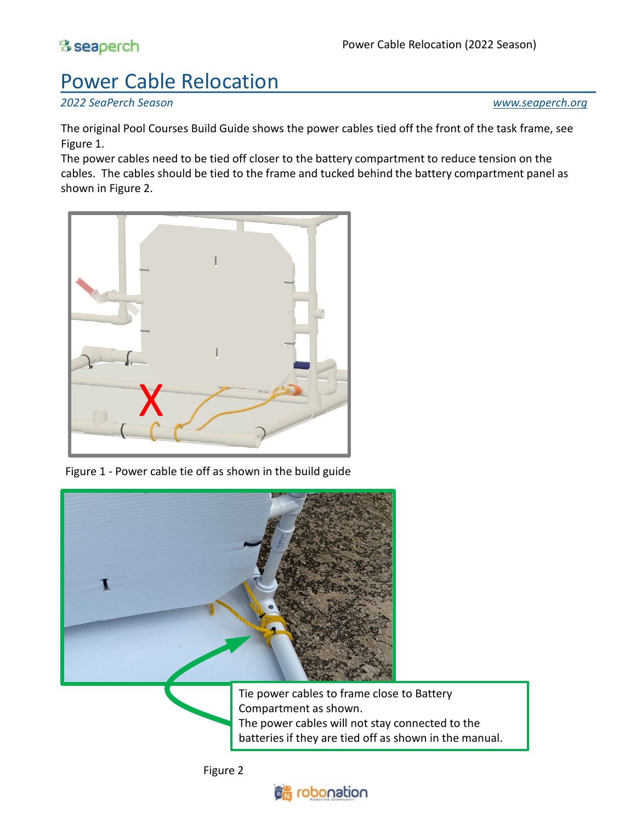#### <sup>8</sup> seaperch

## Power Cable Relocation

*2022 SeaPerch Season [www.seaperch.org](http://www.seaperch.org/)*

The original Pool Courses Build Guide shows the power cables tied off the front of the task frame, see Figure 1.

The power cables need to be tied off closer to the battery compartment to reduce tension on the cables. The cables should be tied to the frame and tucked behind the battery compartment panel as shown in Figure 2.



Figure 1 - Power cable tie off as shown in the build guide



Figure 2

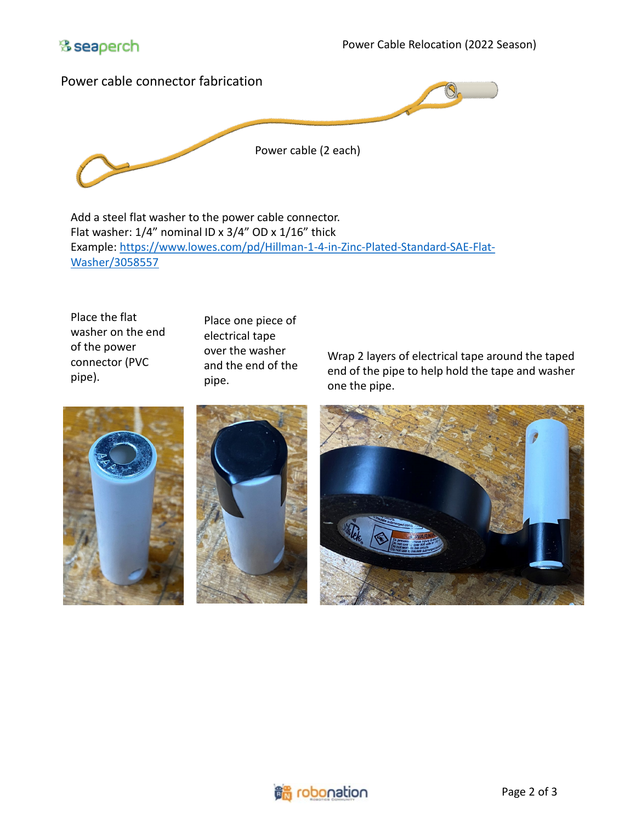



Add a steel flat washer to the power cable connector. Flat washer: 1/4" nominal ID x 3/4" OD x 1/16" thick [Example: https://www.lowes.com/pd/Hillman-1-4-in-Zinc-Plated-Standard-SAE-Flat-](https://www.lowes.com/pd/Hillman-1-4-in-Zinc-Plated-Standard-SAE-Flat-Washer/3058557)Washer/3058557

Place the flat washer on the end of the power connector (PVC pipe).

Place one piece of electrical tape over the washer and the end of the pipe.

Wrap 2 layers of electrical tape around the taped end of the pipe to help hold the tape and washer one the pipe.